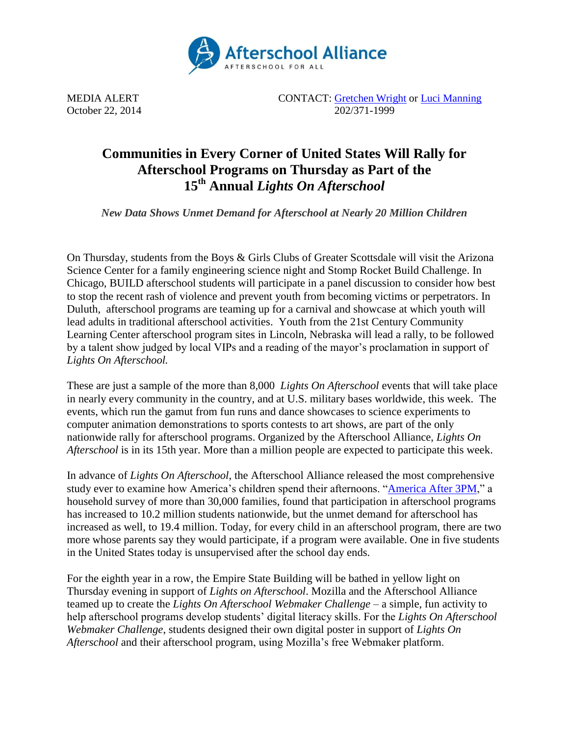

MEDIA ALERT CONTACT: [Gretchen Wright](mailto:gretchen@prsolutionsdc.com) or [Luci Manning](mailto:luci@prsolutionsdc.com) October 22, 2014 202/371-1999

## **Communities in Every Corner of United States Will Rally for Afterschool Programs on Thursday as Part of the 15th Annual** *Lights On Afterschool*

*New Data Shows Unmet Demand for Afterschool at Nearly 20 Million Children*

On Thursday, students from the Boys & Girls Clubs of Greater Scottsdale will visit the Arizona Science Center for a family engineering science night and Stomp Rocket Build Challenge. In Chicago, BUILD afterschool students will participate in a panel discussion to consider how best to stop the recent rash of violence and prevent youth from becoming victims or perpetrators. In Duluth, afterschool programs are teaming up for a carnival and showcase at which youth will lead adults in traditional afterschool activities. Youth from the 21st Century Community Learning Center afterschool program sites in Lincoln, Nebraska will lead a rally, to be followed by a talent show judged by local VIPs and a reading of the mayor's proclamation in support of *Lights On Afterschool.* 

These are just a sample of the more than 8,000 *Lights On Afterschool* events that will take place in nearly every community in the country, and at U.S. military bases worldwide, this week. The events, which run the gamut from fun runs and dance showcases to science experiments to computer animation demonstrations to sports contests to art shows, are part of the only nationwide rally for afterschool programs. Organized by the Afterschool Alliance, *Lights On Afterschool* is in its 15th year. More than a million people are expected to participate this week.

In advance of *Lights On Afterschool*, the Afterschool Alliance released the most comprehensive study ever to examine how America's children spend their afternoons. ["America After 3PM,](http://www.afterschoolalliance.org/AA3PM)" a household survey of more than 30,000 families, found that participation in afterschool programs has increased to 10.2 million students nationwide, but the unmet demand for afterschool has increased as well, to 19.4 million. Today, for every child in an afterschool program, there are two more whose parents say they would participate, if a program were available. One in five students in the United States today is unsupervised after the school day ends.

For the eighth year in a row, the Empire State Building will be bathed in yellow light on Thursday evening in support of *Lights on Afterschool*. Mozilla and the Afterschool Alliance teamed up to create the *Lights On Afterschool Webmaker Challenge* – a simple, fun activity to help afterschool programs develop students' digital literacy skills. For the *Lights On Afterschool Webmaker Challenge*, students designed their own digital poster in support of *Lights On Afterschool* and their afterschool program, using Mozilla's free Webmaker platform.